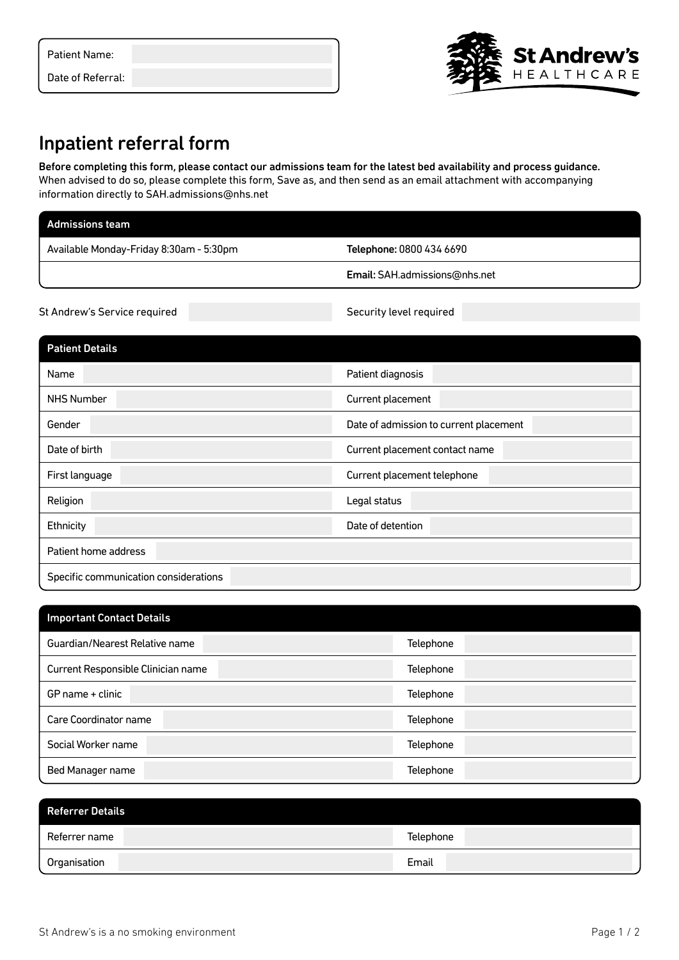| Patient Name: |  |
|---------------|--|

Date of Referral:

## Inpatient referral form

Before completing this form, please contact our admissions team for the latest bed availability and process guidance. When advised to do so, please complete this form, Save as, and then send as an email attachment with accompanying information directly to SAH.admissions@nhs.net

| <b>Admissions team</b>                  |                               |
|-----------------------------------------|-------------------------------|
| Available Monday-Friday 8:30am - 5:30pm | Telephone: 0800 434 6690      |
|                                         | Email: SAH.admissions@nhs.net |
| St Andrew's Service required            | Security level required       |

| <b>Patient Details</b>                |                                        |
|---------------------------------------|----------------------------------------|
| Name                                  | Patient diagnosis                      |
| <b>NHS Number</b>                     | Current placement                      |
| Gender                                | Date of admission to current placement |
| Date of birth                         | Current placement contact name         |
| First language                        | Current placement telephone            |
| Religion                              | Legal status                           |
| Ethnicity                             | Date of detention                      |
| Patient home address                  |                                        |
| Specific communication considerations |                                        |

| <b>Important Contact Details</b>   |           |
|------------------------------------|-----------|
| Guardian/Nearest Relative name     | Telephone |
| Current Responsible Clinician name | Telephone |
| GP name + clinic                   | Telephone |
| Care Coordinator name              | Telephone |
| Social Worker name                 | Telephone |
| Bed Manager name                   | Telephone |

| <b>Referrer Details</b> |           |
|-------------------------|-----------|
| Referrer name           | Telephone |
| Organisation            | Email     |